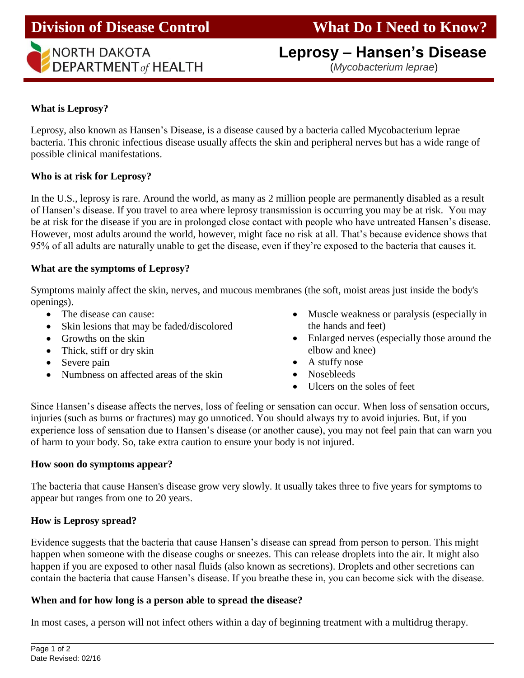# **Leprosy – Hansen's Disease**  *I* **NORTH DAKOTA**<br> **DEPARTMENT** of **HEALTH CONSCRIPTION** *(Mycobacterium leprae*)

## **What is Leprosy?**

Leprosy, also known as Hansen's Disease, is a disease caused by a bacteria called Mycobacterium leprae bacteria. This chronic infectious disease usually affects the skin and peripheral nerves but has a wide range of possible clinical manifestations.

## **Who is at risk for Leprosy?**

In the U.S., leprosy is rare. Around the world, as many as 2 million people are permanently disabled as a result of Hansen's disease. If you travel to area where leprosy transmission is occurring you may be at risk. You may be at risk for the disease if you are in prolonged close contact with people who have untreated Hansen's disease. However, most adults around the world, however, might face no risk at all. That's because evidence shows that 95% of all adults are naturally unable to get the disease, even if they're exposed to the bacteria that causes it.

## **What are the symptoms of Leprosy?**

Symptoms mainly affect the skin, nerves, and mucous membranes (the soft, moist areas just inside the body's openings).

- The disease can cause:
- Skin lesions that may be faded/discolored
- Growths on the skin
- Thick, stiff or dry skin
- Severe pain
- Numbness on affected areas of the skin
- Muscle weakness or paralysis (especially in the hands and feet)
- Enlarged nerves (especially those around the elbow and knee)
- A stuffy nose
- Nosebleeds
- Ulcers on the soles of feet

Since Hansen's disease affects the nerves, loss of feeling or sensation can occur. When loss of sensation occurs, injuries (such as burns or fractures) may go unnoticed. You should always try to avoid injuries. But, if you experience loss of sensation due to Hansen's disease (or another cause), you may not feel pain that can warn you of harm to your body. So, take extra caution to ensure your body is not injured.

## **How soon do symptoms appear?**

The bacteria that cause Hansen's disease grow very slowly. It usually takes three to five years for symptoms to appear but ranges from one to 20 years.

# **How is Leprosy spread?**

Evidence suggests that the bacteria that cause Hansen's disease can spread from person to person. This might happen when someone with the disease coughs or sneezes. This can release droplets into the air. It might also happen if you are exposed to other nasal fluids (also known as secretions). Droplets and other secretions can contain the bacteria that cause Hansen's disease. If you breathe these in, you can become sick with the disease.

# **When and for how long is a person able to spread the disease?**

In most cases, a person will not infect others within a day of beginning treatment with a multidrug therapy.